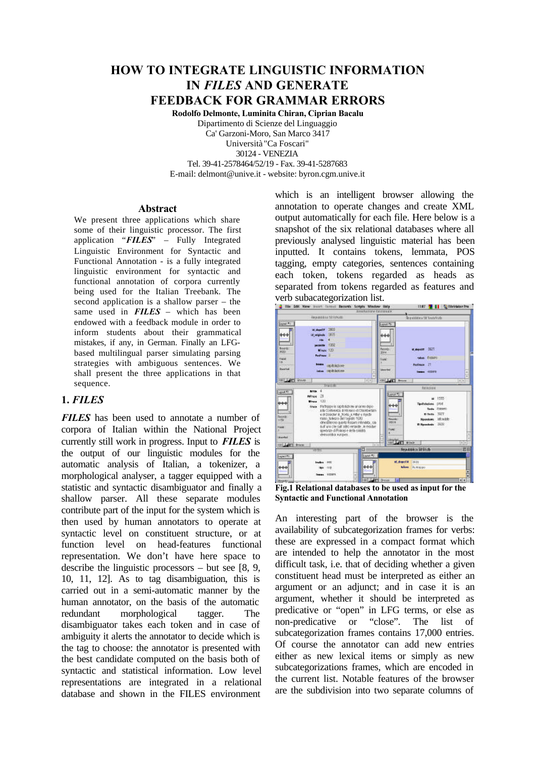# **HOW TO INTEGRATE LINGUISTIC INFORMATION IN** *FILES* **AND GENERATE FEEDBACK FOR GRAMMAR ERRORS**

**Rodolfo Delmonte, Luminita Chiran, Ciprian Bacalu**

Dipartimento di Scienze del Linguaggio Ca' Garzoni-Moro, San Marco 3417 Università "Ca Foscari" 30124 - VENEZIA Tel. 39-41-2578464/52/19 - Fax. 39-41-5287683

E-mail: delmont@unive.it - website: byron.cgm.unive.it

#### **Abstract**

We present three applications which share some of their linguistic processor. The first application "*FILES*" – Fully Integrated Linguistic Environment for Syntactic and Functional Annotation - is a fully integrated linguistic environment for syntactic and functional annotation of corpora currently being used for the Italian Treebank. The second application is a shallow parser – the same used in *FILES* – which has been endowed with a feedback module in order to inform students about their grammatical mistakes, if any, in German. Finally an LFGbased multilingual parser simulating parsing strategies with ambiguous sentences. We shall present the three applications in that sequence.

#### **1.** *FILES*

*FILES* has been used to annotate a number of corpora of Italian within the National Project currently still work in progress. Input to *FILES* is the output of our linguistic modules for the automatic analysis of Italian, a tokenizer, a morphological analyser, a tagger equipped with a statistic and syntactic disambiguator and finally a shallow parser. All these separate modules contribute part of the input for the system which is then used by human annotators to operate at syntactic level on constituent structure, or at function level on head-features functional representation. We don't have here space to describe the linguistic processors – but see [8, 9, 10, 11, 12]. As to tag disambiguation, this is carried out in a semi-automatic manner by the human annotator, on the basis of the automatic redundant morphological tagger. The disambiguator takes each token and in case of ambiguity it alerts the annotator to decide which is the tag to choose: the annotator is presented with the best candidate computed on the basis both of syntactic and statistical information. Low level representations are integrated in a relational database and shown in the FILES environment

which is an intelligent browser allowing the annotation to operate changes and create XML output automatically for each file. Here below is a snapshot of the six relational databases where all previously analysed linguistic material has been inputted. It contains tokens, lemmata, POS tagging, empty categories, sentences containing each token, tokens regarded as heads as separated from tokens regarded as features and verb subacategorization list.



**Fig.1 Relational databases to be used as input for the Syntactic and Functional Annotation**

An interesting part of the browser is the availability of subcategorization frames for verbs: these are expressed in a compact format which are intended to help the annotator in the most difficult task, i.e. that of deciding whether a given constituent head must be interpreted as either an argument or an adjunct; and in case it is an argument, whether it should be interpreted as predicative or "open" in LFG terms, or else as non-predicative or "close". The list of subcategorization frames contains 17,000 entries. Of course the annotator can add new entries either as new lexical items or simply as new subcategorizations frames, which are encoded in the current list. Notable features of the browser are the subdivision into two separate columns of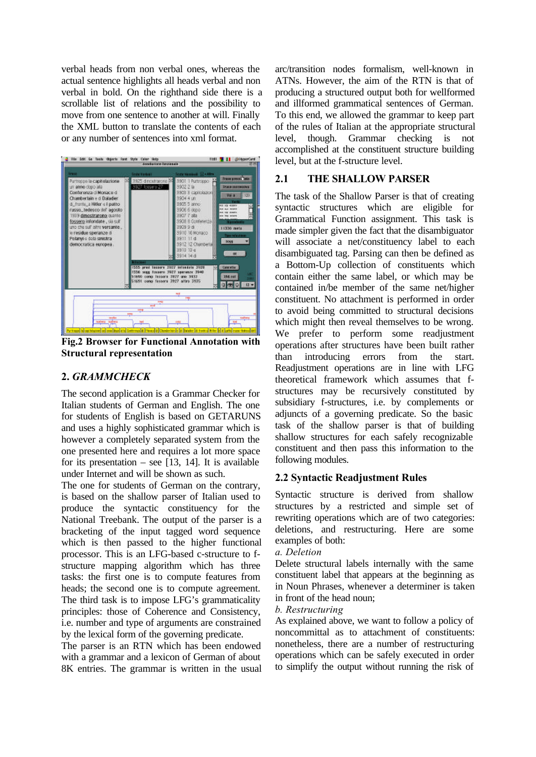verbal heads from non verbal ones, whereas the actual sentence highlights all heads verbal and non verbal in bold. On the righthand side there is a scrollable list of relations and the possibility to move from one sentence to another at will. Finally the XML button to translate the contents of each or any number of sentences into xml format.



**Fig.2 Browser for Functional Annotation with Structural representation**

# **2.** *GRAMMCHECK*

The second application is a Grammar Checker for Italian students of German and English. The one for students of English is based on GETARUNS and uses a highly sophisticated grammar which is however a completely separated system from the one presented here and requires a lot more space for its presentation – see  $[13, 14]$ . It is available under Internet and will be shown as such.

The one for students of German on the contrary, is based on the shallow parser of Italian used to produce the syntactic constituency for the National Treebank. The output of the parser is a bracketing of the input tagged word sequence which is then passed to the higher functional processor. This is an LFG-based c-structure to fstructure mapping algorithm which has three tasks: the first one is to compute features from heads; the second one is to compute agreement. The third task is to impose LFG's grammaticality principles: those of Coherence and Consistency, i.e. number and type of arguments are constrained by the lexical form of the governing predicate.

The parser is an RTN which has been endowed with a grammar and a lexicon of German of about 8K entries. The grammar is written in the usual arc/transition nodes formalism, well-known in ATNs. However, the aim of the RTN is that of producing a structured output both for wellformed and illformed grammatical sentences of German. To this end, we allowed the grammar to keep part of the rules of Italian at the appropriate structural level, though. Grammar checking is not accomplished at the constituent structure building level, but at the f-structure level.

### **2.1 THE SHALLOW PARSER**

The task of the Shallow Parser is that of creating syntactic structures which are eligible for Grammatical Function assignment. This task is made simpler given the fact that the disambiguator will associate a net/constituency label to each disambiguated tag. Parsing can then be defined as a Bottom-Up collection of constituents which contain either the same label, or which may be contained in/be member of the same net/higher constituent. No attachment is performed in order to avoid being committed to structural decisions which might then reveal themselves to be wrong. We prefer to perform some readjustment operations after structures have been built rather than introducing errors from the start. Readjustment operations are in line with LFG theoretical framework which assumes that fstructures may be recursively constituted by subsidiary f-structures, i.e. by complements or adjuncts of a governing predicate. So the basic task of the shallow parser is that of building shallow structures for each safely recognizable constituent and then pass this information to the following modules.

### **2.2 Syntactic Readjustment Rules**

Syntactic structure is derived from shallow structures by a restricted and simple set of rewriting operations which are of two categories: deletions, and restructuring. Here are some examples of both:

*a. Deletion*

Delete structural labels internally with the same constituent label that appears at the beginning as in Noun Phrases, whenever a determiner is taken in front of the head noun;

*b. Restructuring*

As explained above, we want to follow a policy of noncommittal as to attachment of constituents: nonetheless, there are a number of restructuring operations which can be safely executed in order to simplify the output without running the risk of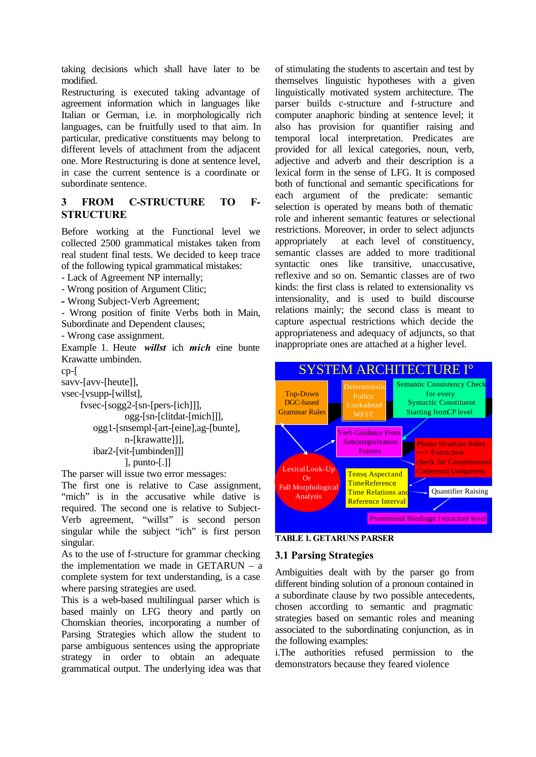taking decisions which shall have later to be modified.

Restructuring is executed taking advantage of agreement information which in languages like Italian or German, i.e. in morphologically rich languages, can be fruitfully used to that aim. In particular, predicative constituents may belong to different levels of attachment from the adjacent one. More Restructuring is done at sentence level, in case the current sentence is a coordinate or subordinate sentence.

### **3 FROM C-STRUCTURE TO F-STRUCTURE**

Before working at the Functional level we collected 2500 grammatical mistakes taken from real student final tests. We decided to keep trace of the following typical grammatical mistakes:

- Lack of Agreement NP internally;

- Wrong position of Argument Clitic;

**-** Wrong Subject-Verb Agreement;

- Wrong position of finite Verbs both in Main, Subordinate and Dependent clauses;

- Wrong case assignment.

Example 1. Heute *willst* ich *mich* eine bunte Krawatte umbinden.

cp-[

savv-[avv-[heute]],

vsec-[vsupp-[willst],

 fvsec-[sogg2-[sn-[pers-[ich]]], ogg-[sn-[clitdat-[mich]]], ogg1-[snsempl-[art-[eine],ag-[bunte], n-[krawatte]]], ibar2-[vit-[umbinden]]] ], punto-[.]]

The parser will issue two error messages:

The first one is relative to Case assignment, "mich" is in the accusative while dative is required. The second one is relative to Subject-Verb agreement, "willst" is second person singular while the subject "ich" is first person singular.

As to the use of f-structure for grammar checking the implementation we made in GETARUN – a complete system for text understanding, is a case where parsing strategies are used.

This is a web-based multilingual parser which is based mainly on LFG theory and partly on Chomskian theories, incorporating a number of Parsing Strategies which allow the student to parse ambiguous sentences using the appropriate strategy in order to obtain an adequate grammatical output. The underlying idea was that of stimulating the students to ascertain and test by themselves linguistic hypotheses with a given linguistically motivated system architecture. The parser builds c-structure and f-structure and computer anaphoric binding at sentence level; it also has provision for quantifier raising and temporal local interpretation. Predicates are provided for all lexical categories, noun, verb, adjective and adverb and their description is a lexical form in the sense of LFG. It is composed both of functional and semantic specifications for each argument of the predicate: semantic selection is operated by means both of thematic role and inherent semantic features or selectional restrictions. Moreover, in order to select adjuncts appropriately at each level of constituency, semantic classes are added to more traditional syntactic ones like transitive, unaccusative, reflexive and so on. Semantic classes are of two kinds: the first class is related to extensionality vs intensionality, and is used to build discourse relations mainly; the second class is meant to capture aspectual restrictions which decide the appropriateness and adequacy of adjuncts, so that inappropriate ones are attached at a higher level.



#### **TABLE 1. GETARUNS PARSER**

#### **3.1 Parsing Strategies**

Ambiguities dealt with by the parser go from different binding solution of a pronoun contained in a subordinate clause by two possible antecedents, chosen according to semantic and pragmatic strategies based on semantic roles and meaning associated to the subordinating conjunction, as in the following examples:

i.The authorities refused permission to the demonstrators because they feared violence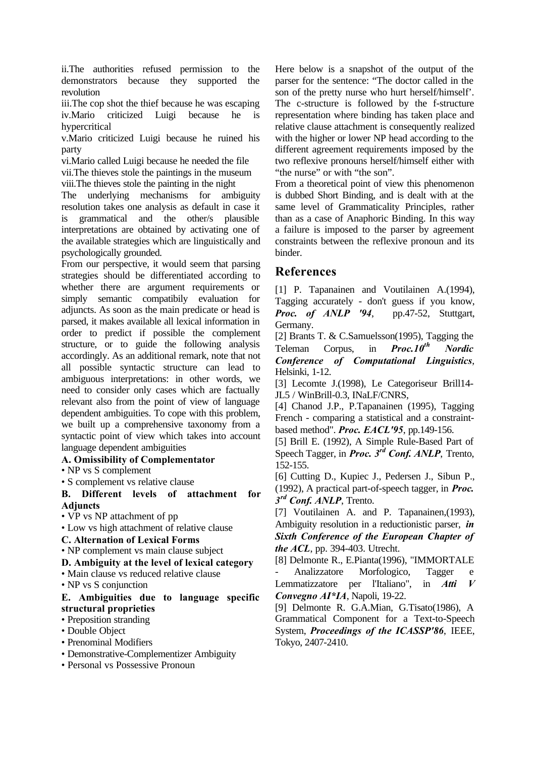ii.The authorities refused permission to the demonstrators because they supported the revolution

iii.The cop shot the thief because he was escaping iv.Mario criticized Luigi because he is hypercritical

v.Mario criticized Luigi because he ruined his party

vi.Mario called Luigi because he needed the file

vii.The thieves stole the paintings in the museum viii.The thieves stole the painting in the night

The underlying mechanisms for ambiguity resolution takes one analysis as default in case it is grammatical and the other/s plausible interpretations are obtained by activating one of the available strategies which are linguistically and psychologically grounded.

From our perspective, it would seem that parsing strategies should be differentiated according to whether there are argument requirements or simply semantic compatibily evaluation for adjuncts. As soon as the main predicate or head is parsed, it makes available all lexical information in order to predict if possible the complement structure, or to guide the following analysis accordingly. As an additional remark, note that not all possible syntactic structure can lead to ambiguous interpretations: in other words, we need to consider only cases which are factually relevant also from the point of view of language dependent ambiguities. To cope with this problem, we built up a comprehensive taxonomy from a syntactic point of view which takes into account language dependent ambiguities

#### **A. Omissibility of Complementator**

• NP vs S complement

• S complement vs relative clause

**B. Different levels of attachment for Adjuncts**

• VP vs NP attachment of pp

• Low vs high attachment of relative clause

**C. Alternation of Lexical Forms**

• NP complement vs main clause subject

**D. Ambiguity at the level of lexical category**

• Main clause vs reduced relative clause

• NP vs S conjunction

#### **E. Ambiguities due to language specific structural proprieties**

• Preposition stranding

- Double Object
- Prenominal Modifiers
- Demonstrative-Complementizer Ambiguity

• Personal vs Possessive Pronoun

Here below is a snapshot of the output of the parser for the sentence: "The doctor called in the son of the pretty nurse who hurt herself/himself'. The c-structure is followed by the f-structure representation where binding has taken place and relative clause attachment is consequently realized with the higher or lower NP head according to the different agreement requirements imposed by the two reflexive pronouns herself/himself either with "the nurse" or with "the son".

From a theoretical point of view this phenomenon is dubbed Short Binding, and is dealt with at the same level of Grammaticality Principles, rather than as a case of Anaphoric Binding. In this way a failure is imposed to the parser by agreement constraints between the reflexive pronoun and its binder.

# **References**

[1] P. Tapanainen and Voutilainen A.(1994), Tagging accurately - don't guess if you know, *Proc. of ANLP '94*, pp.47-52, Stuttgart, Germany.

[2] Brants T. & C.Samuelsson(1995), Tagging the Teleman Corpus, in *Proc.10th Nordic Conference of Computational Linguistics*, Helsinki, 1-12.

[3] Lecomte J.(1998), Le Categoriseur Brill14- JL5 / WinBrill-0.3, INaLF/CNRS,

[4] Chanod J.P., P.Tapanainen (1995), Tagging French - comparing a statistical and a constraintbased method". *Proc. EACL'95*, pp.149-156.

[5] Brill E. (1992), A Simple Rule-Based Part of Speech Tagger, in *Proc. 3rd Conf. ANLP*, Trento, 152-155.

[6] Cutting D., Kupiec J., Pedersen J., Sibun P., (1992), A practical part-of-speech tagger, in *Proc. 3 rd Conf. ANLP*, Trento.

[7] Voutilainen A. and P. Tapanainen,(1993), Ambiguity resolution in a reductionistic parser, *in Sixth Conference of the European Chapter of the ACL*, pp. 394-403. Utrecht.

[8] Delmonte R., E.Pianta(1996), "IMMORTALE Analizzatore Morfologico, Tagger e Lemmatizzatore per l'Italiano", in *Atti V Convegno AI\*IA*, Napoli, 19-22.

[9] Delmonte R. G.A.Mian, G.Tisato(1986), A Grammatical Component for a Text-to-Speech System, *Proceedings of the ICASSP'86*, IEEE, Tokyo, 2407-2410.